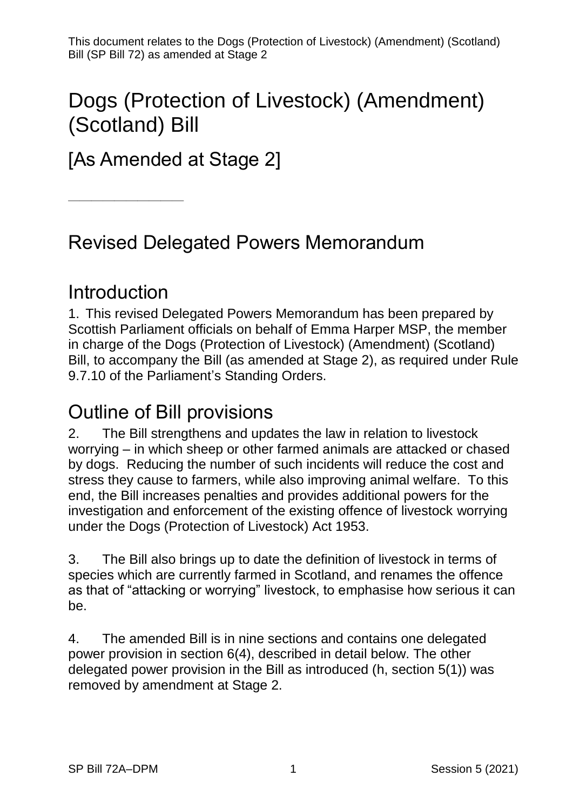This document relates to the Dogs (Protection of Livestock) (Amendment) (Scotland) Bill (SP Bill 72) as amended at Stage 2

# Dogs (Protection of Livestock) (Amendment) (Scotland) Bill

[As Amended at Stage 2]

Revised Delegated Powers Memorandum

## **Introduction**

————————————————————

1. This revised Delegated Powers Memorandum has been prepared by Scottish Parliament officials on behalf of Emma Harper MSP, the member in charge of the Dogs (Protection of Livestock) (Amendment) (Scotland) Bill, to accompany the Bill (as amended at Stage 2), as required under Rule 9.7.10 of the Parliament's Standing Orders.

## Outline of Bill provisions

2. The Bill strengthens and updates the law in relation to livestock worrying – in which sheep or other farmed animals are attacked or chased by dogs. Reducing the number of such incidents will reduce the cost and stress they cause to farmers, while also improving animal welfare. To this end, the Bill increases penalties and provides additional powers for the investigation and enforcement of the existing offence of livestock worrying under the Dogs (Protection of Livestock) Act 1953.

3. The Bill also brings up to date the definition of livestock in terms of species which are currently farmed in Scotland, and renames the offence as that of "attacking or worrying" livestock, to emphasise how serious it can be.

4. The amended Bill is in nine sections and contains one delegated power provision in section 6(4), described in detail below. The other delegated power provision in the Bill as introduced (h, section 5(1)) was removed by amendment at Stage 2.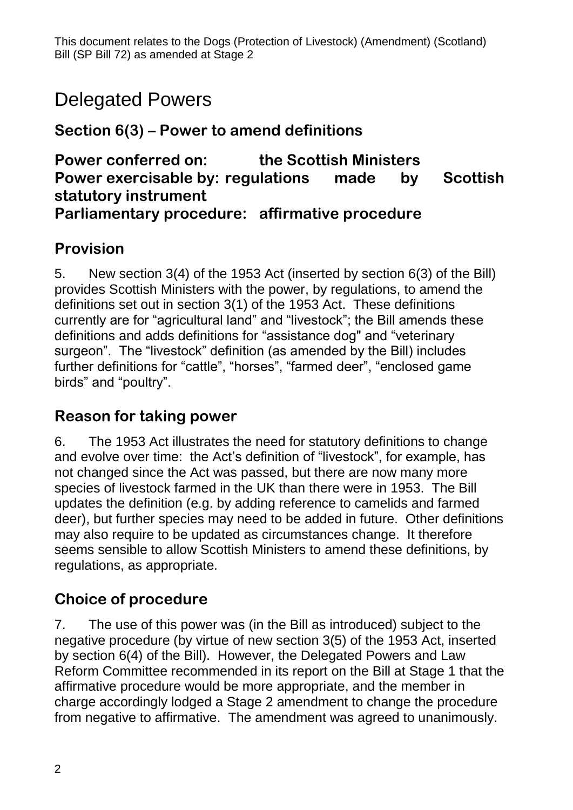# Delegated Powers

**Section 6(3) – Power to amend definitions**

#### **Power conferred on: the Scottish Ministers Power exercisable by: regulations made by Scottish statutory instrument Parliamentary procedure: affirmative procedure**

### **Provision**

5. New section 3(4) of the 1953 Act (inserted by section 6(3) of the Bill) provides Scottish Ministers with the power, by regulations, to amend the definitions set out in section 3(1) of the 1953 Act. These definitions currently are for "agricultural land" and "livestock"; the Bill amends these definitions and adds definitions for "assistance dog" and "veterinary surgeon". The "livestock" definition (as amended by the Bill) includes further definitions for "cattle", "horses", "farmed deer", "enclosed game birds" and "poultry".

### **Reason for taking power**

6. The 1953 Act illustrates the need for statutory definitions to change and evolve over time: the Act's definition of "livestock", for example, has not changed since the Act was passed, but there are now many more species of livestock farmed in the UK than there were in 1953. The Bill updates the definition (e.g. by adding reference to camelids and farmed deer), but further species may need to be added in future. Other definitions may also require to be updated as circumstances change. It therefore seems sensible to allow Scottish Ministers to amend these definitions, by regulations, as appropriate.

## **Choice of procedure**

7. The use of this power was (in the Bill as introduced) subject to the negative procedure (by virtue of new section 3(5) of the 1953 Act, inserted by section 6(4) of the Bill). However, the Delegated Powers and Law Reform Committee recommended in its report on the Bill at Stage 1 that the affirmative procedure would be more appropriate, and the member in charge accordingly lodged a Stage 2 amendment to change the procedure from negative to affirmative. The amendment was agreed to unanimously.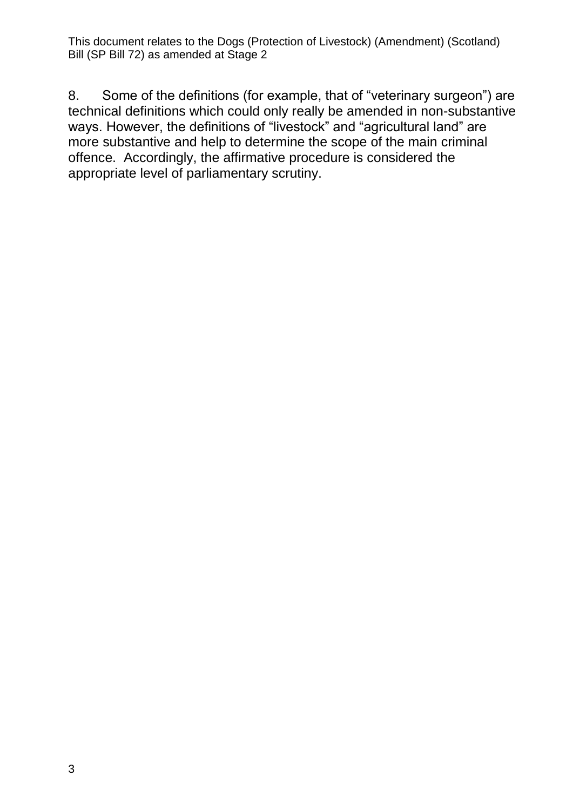This document relates to the Dogs (Protection of Livestock) (Amendment) (Scotland) Bill (SP Bill 72) as amended at Stage 2

8. Some of the definitions (for example, that of "veterinary surgeon") are technical definitions which could only really be amended in non-substantive ways. However, the definitions of "livestock" and "agricultural land" are more substantive and help to determine the scope of the main criminal offence. Accordingly, the affirmative procedure is considered the appropriate level of parliamentary scrutiny.